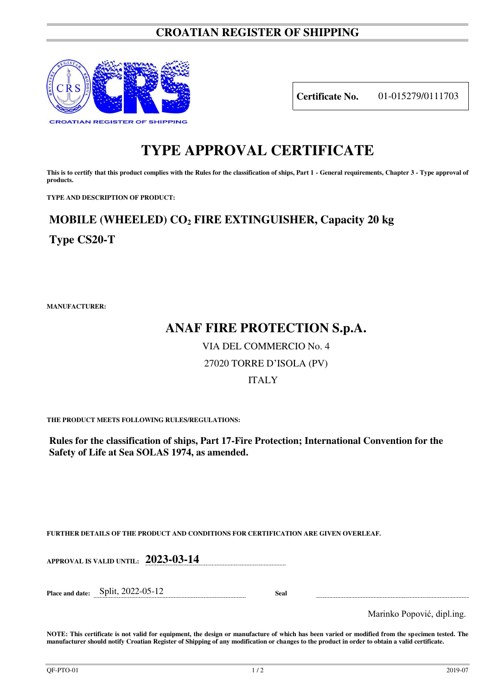## **CROATIAN REGISTER OF SHIPPING**



**Certificate No.** 01-015279/0111703

## **TYPE APPROVAL CERTIFICATE**

This is to certify that this product complies with the Rules for the classification of ships, Part 1 - General requirements, Chapter 3 - Type approval of **products.** 

**TYPE AND DESCRIPTION OF PRODUCT:** 

# **MOBILE (WHEELED) CO2 FIRE EXTINGUISHER, Capacity 20 kg**

**Type CS20-T**

**MANUFACTURER:**

## **ANAF FIRE PROTECTION S.p.A.**

VIA DEL COMMERCIO No. 4

### 27020 TORRE D'ISOLA (PV)

#### ITALY

**THE PRODUCT MEETS FOLLOWING RULES/REGULATIONS:**

**Rules for the classification of ships, Part 17-Fire Protection; International Convention for the Safety of Life at Sea SOLAS 1974, as amended.**

**FURTHER DETAILS OF THE PRODUCT AND CONDITIONS FOR CERTIFICATION ARE GIVEN OVERLEAF.**

**APPROVAL IS VALID UNTIL: 2023-03-14**

**Place and date:** Split, 2022-05-12 **Seal** 

Marinko Popović, dipl.ing.

**NOTE: This certificate is not valid for equipment, the design or manufacture of which has been varied or modified from the specimen tested. The manufacturer should notify Croatian Register of Shipping of any modification or changes to the product in order to obtain a valid certificate.**